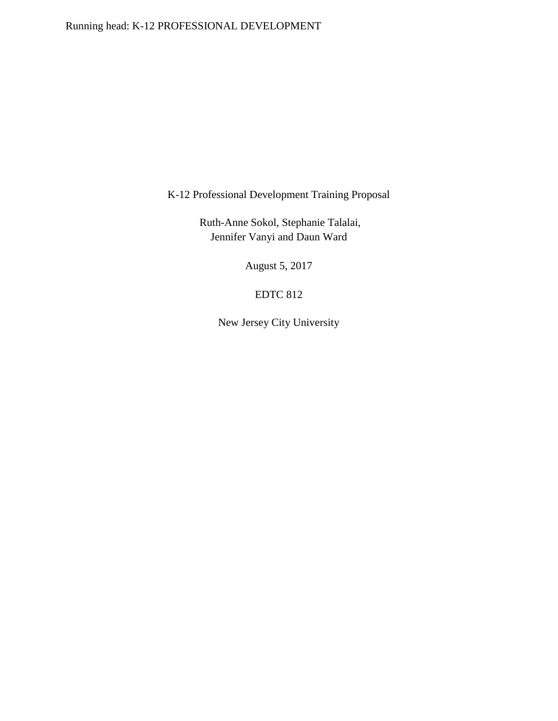K-12 Professional Development Training Proposal

Ruth-Anne Sokol, Stephanie Talalai, Jennifer Vanyi and Daun Ward

August 5, 2017

# EDTC 812

New Jersey City University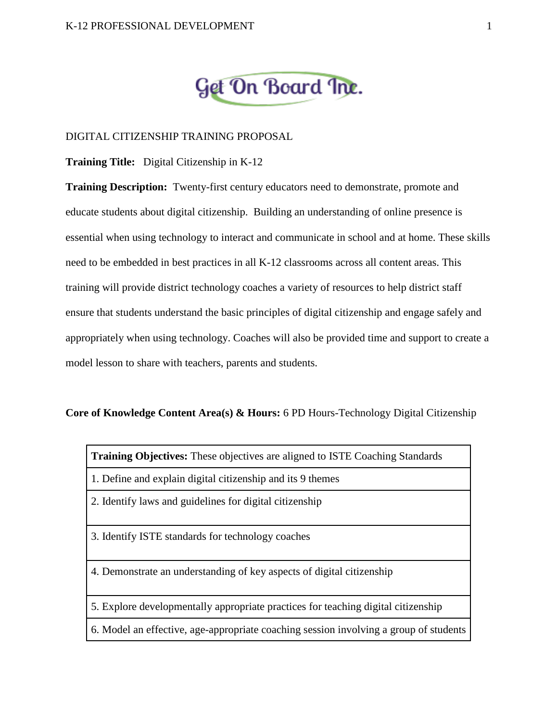# Get On Board Inc.

## DIGITAL CITIZENSHIP TRAINING PROPOSAL

**Training Title:** Digital Citizenship in K-12

**Training Description:** Twenty-first century educators need to demonstrate, promote and educate students about digital citizenship. Building an understanding of online presence is essential when using technology to interact and communicate in school and at home. These skills need to be embedded in best practices in all K-12 classrooms across all content areas. This training will provide district technology coaches a variety of resources to help district staff ensure that students understand the basic principles of digital citizenship and engage safely and appropriately when using technology. Coaches will also be provided time and support to create a model lesson to share with teachers, parents and students.

#### **Core of Knowledge Content Area(s) & Hours:** 6 PD Hours-Technology Digital Citizenship

**Training Objectives:** These objectives are aligned to ISTE Coaching Standards

- 1. Define and explain digital citizenship and its 9 themes
- 2. Identify laws and guidelines for digital citizenship
- 3. Identify ISTE standards for technology coaches
- 4. Demonstrate an understanding of key aspects of digital citizenship
- 5. Explore developmentally appropriate practices for teaching digital citizenship
- 6. Model an effective, age-appropriate coaching session involving a group of students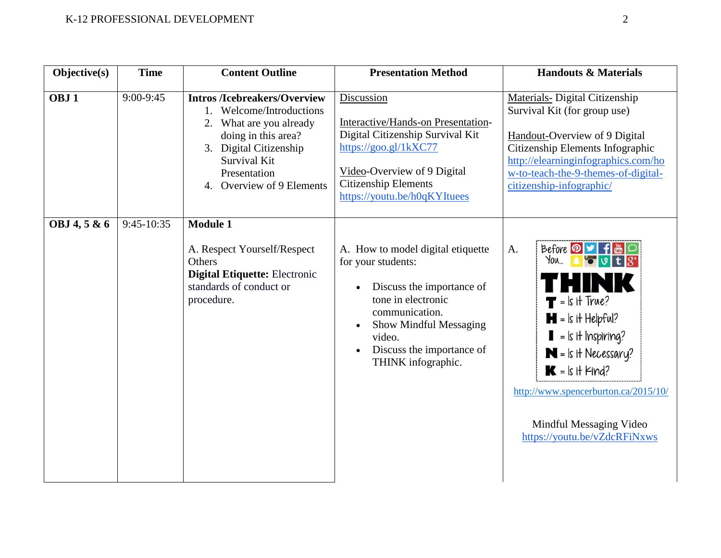| Objective(s)     | <b>Time</b>  | <b>Content Outline</b>                                                                                                                                                                                          | <b>Presentation Method</b>                                                                                                                                                                                          | <b>Handouts &amp; Materials</b>                                                                                                                                                                                                                                                                                                                                          |
|------------------|--------------|-----------------------------------------------------------------------------------------------------------------------------------------------------------------------------------------------------------------|---------------------------------------------------------------------------------------------------------------------------------------------------------------------------------------------------------------------|--------------------------------------------------------------------------------------------------------------------------------------------------------------------------------------------------------------------------------------------------------------------------------------------------------------------------------------------------------------------------|
| OBJ <sub>1</sub> | 9:00-9:45    | <b>Intros /Icebreakers/Overview</b><br>1. Welcome/Introductions<br>2. What are you already<br>doing in this area?<br>3. Digital Citizenship<br><b>Survival Kit</b><br>Presentation<br>4. Overview of 9 Elements | Discussion<br>Interactive/Hands-on Presentation-<br>Digital Citizenship Survival Kit<br>https://goo.gl/1kXC77<br>Video-Overview of 9 Digital<br><b>Citizenship Elements</b><br>https://youtu.be/h0qKYItuees         | <b>Materials- Digital Citizenship</b><br>Survival Kit (for group use)<br>Handout-Overview of 9 Digital<br>Citizenship Elements Infographic<br>http://elearninginfographics.com/ho<br>w-to-teach-the-9-themes-of-digital-<br>citizenship-infographic/                                                                                                                     |
| OBJ 4, 5 & 6     | $9:45-10:35$ | <b>Module 1</b><br>A. Respect Yourself/Respect<br>Others<br><b>Digital Etiquette: Electronic</b><br>standards of conduct or<br>procedure.                                                                       | A. How to model digital etiquette<br>for your students:<br>Discuss the importance of<br>tone in electronic<br>communication.<br>Show Mindful Messaging<br>video.<br>Discuss the importance of<br>THINK infographic. | Before <b>D</b> J f <b>in</b><br>A.<br>$\frac{1}{2}$ over $\frac{1}{2}$<br>rhink<br>$\blacksquare$ = ls it True?<br>$\blacksquare$ = $\blacksquare$ it Helpful?<br>$\blacksquare$ = ls it Inspiring?<br>$N = k$ it Necessary?<br>$\mathbf{K}$ = $\mathbf{k}$ it Find?<br>http://www.spencerburton.ca/2015/10/<br>Mindful Messaging Video<br>https://youtu.be/vZdcRFiNxws |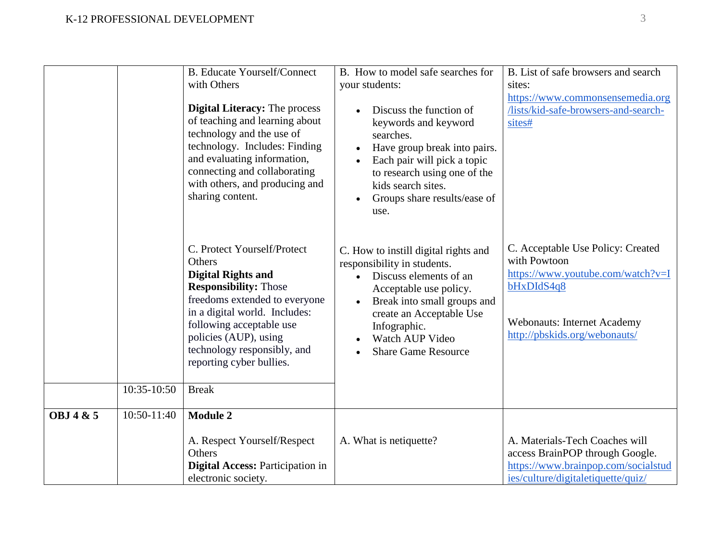|           |             | <b>B.</b> Educate Yourself/Connect<br>with Others<br><b>Digital Literacy: The process</b><br>of teaching and learning about<br>technology and the use of<br>technology. Includes: Finding<br>and evaluating information,<br>connecting and collaborating<br>with others, and producing and<br>sharing content. | B. How to model safe searches for<br>your students:<br>Discuss the function of<br>keywords and keyword<br>searches.<br>Have group break into pairs.<br>Each pair will pick a topic<br>to research using one of the<br>kids search sites.<br>Groups share results/ease of<br>use. | B. List of safe browsers and search<br>sites:<br>https://www.commonsensemedia.org<br>/lists/kid-safe-browsers-and-search-<br>sites#                                         |
|-----------|-------------|----------------------------------------------------------------------------------------------------------------------------------------------------------------------------------------------------------------------------------------------------------------------------------------------------------------|----------------------------------------------------------------------------------------------------------------------------------------------------------------------------------------------------------------------------------------------------------------------------------|-----------------------------------------------------------------------------------------------------------------------------------------------------------------------------|
|           | 10:35-10:50 | C. Protect Yourself/Protect<br>Others<br><b>Digital Rights and</b><br><b>Responsibility: Those</b><br>freedoms extended to everyone<br>in a digital world. Includes:<br>following acceptable use<br>policies (AUP), using<br>technology responsibly, and<br>reporting cyber bullies.<br><b>Break</b>           | C. How to instill digital rights and<br>responsibility in students.<br>Discuss elements of an<br>$\bullet$<br>Acceptable use policy.<br>Break into small groups and<br>create an Acceptable Use<br>Infographic.<br>Watch AUP Video<br><b>Share Game Resource</b>                 | C. Acceptable Use Policy: Created<br>with Powtoon<br>https://www.youtube.com/watch?v=I<br>bHxDIdS4q8<br><b>Webonauts: Internet Academy</b><br>http://pbskids.org/webonauts/ |
| OBJ 4 & 5 | 10:50-11:40 | <b>Module 2</b>                                                                                                                                                                                                                                                                                                |                                                                                                                                                                                                                                                                                  |                                                                                                                                                                             |
|           |             | A. Respect Yourself/Respect<br>Others<br><b>Digital Access: Participation in</b><br>electronic society.                                                                                                                                                                                                        | A. What is netiquette?                                                                                                                                                                                                                                                           | A. Materials-Tech Coaches will<br>access BrainPOP through Google.<br>https://www.brainpop.com/socialstud<br>ies/culture/digitaletiquette/quiz/                              |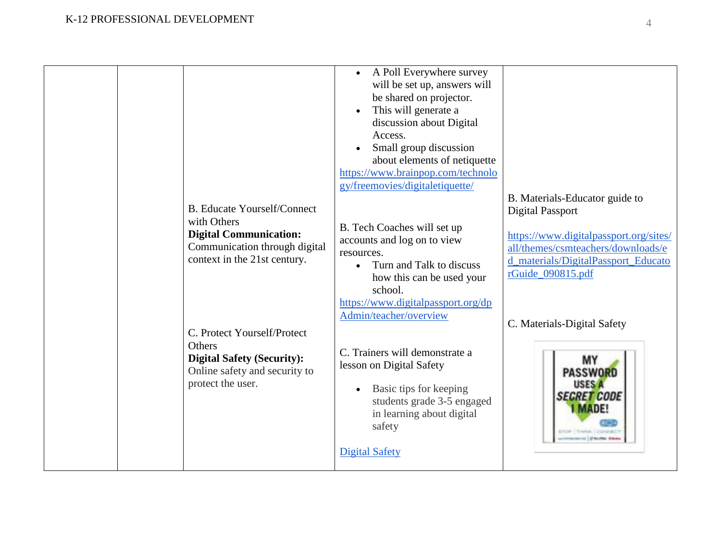| <b>B.</b> Educate Yourself/Connect                                                                                                                                                          | A Poll Everywhere survey<br>will be set up, answers will<br>be shared on projector.<br>This will generate a<br>$\bullet$<br>discussion about Digital<br>Access.<br>Small group discussion<br>about elements of netiquette<br>https://www.brainpop.com/technolo<br>gy/freemovies/digitaletiquette/ | B. Materials-Educator guide to<br><b>Digital Passport</b>                                                                                                                     |
|---------------------------------------------------------------------------------------------------------------------------------------------------------------------------------------------|---------------------------------------------------------------------------------------------------------------------------------------------------------------------------------------------------------------------------------------------------------------------------------------------------|-------------------------------------------------------------------------------------------------------------------------------------------------------------------------------|
| with Others<br><b>Digital Communication:</b><br>Communication through digital<br>context in the 21st century.<br>C. Protect Yourself/Protect<br>Others<br><b>Digital Safety (Security):</b> | B. Tech Coaches will set up<br>accounts and log on to view<br>resources.<br>Turn and Talk to discuss<br>how this can be used your<br>school.<br>https://www.digitalpassport.org/dp<br>Admin/teacher/overview<br>C. Trainers will demonstrate a<br>lesson on Digital Safety                        | https://www.digitalpassport.org/sites/<br>all/themes/csmteachers/downloads/e<br>d materials/DigitalPassport Educato<br>rGuide_090815.pdf<br>C. Materials-Digital Safety<br>MY |
| Online safety and security to<br>protect the user.                                                                                                                                          | Basic tips for keeping<br>$\bullet$<br>students grade 3-5 engaged<br>in learning about digital<br>safety<br><b>Digital Safety</b>                                                                                                                                                                 | <b>PASSWORD</b><br><b>USES A</b><br><b>SEGRET CODE</b><br><b>I MADE!</b><br>BTOP - THREE - DONOR                                                                              |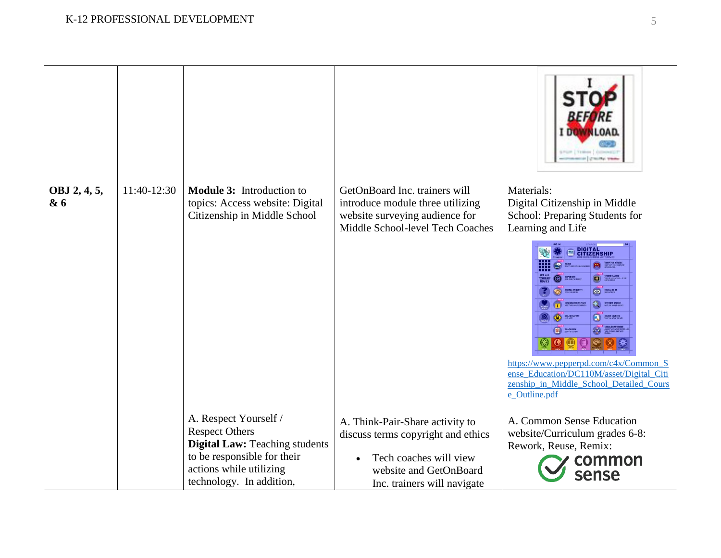|                     |             |                                                                                                                                                                               |                                                                                                                                                          | <i><b>BEFORE</b></i><br>I DOWNLOAD                                                                                                                                                                                                                                                                                                                                                                                                                                                                                                                   |
|---------------------|-------------|-------------------------------------------------------------------------------------------------------------------------------------------------------------------------------|----------------------------------------------------------------------------------------------------------------------------------------------------------|------------------------------------------------------------------------------------------------------------------------------------------------------------------------------------------------------------------------------------------------------------------------------------------------------------------------------------------------------------------------------------------------------------------------------------------------------------------------------------------------------------------------------------------------------|
| OBJ 2, 4, 5,<br>& 6 | 11:40-12:30 | <b>Module 3:</b> Introduction to<br>topics: Access website: Digital<br>Citizenship in Middle School                                                                           | GetOnBoard Inc. trainers will<br>introduce module three utilizing<br>website surveying audience for<br>Middle School-level Tech Coaches                  | Materials:<br>Digital Citizenship in Middle<br>School: Preparing Students for<br>Learning and Life<br><b>DIGITAL</b><br>CITIZENSHIP<br>COMPUTER VIRUSE<br><b>CYBERBULLYINS</b><br><b>COPYRIGHT</b><br>NHO DAYS THE RENT<br><b>DIGITAL ETIQUETTE</b><br><b>DOC THAT AND IN</b><br>$\mathbf{z}$<br>INTERNET SEARCH<br><b>ONLINE SAFET</b><br>ONLINE SOURCES<br><b>ED PLAGUARISM</b><br>$\blacksquare$<br>https://www.pepperpd.com/c4x/Common S<br>ense Education/DC110M/asset/Digital Citi<br>zenship_in_Middle_School_Detailed_Cours<br>e_Outline.pdf |
|                     |             | A. Respect Yourself /<br><b>Respect Others</b><br><b>Digital Law:</b> Teaching students<br>to be responsible for their<br>actions while utilizing<br>technology. In addition, | A. Think-Pair-Share activity to<br>discuss terms copyright and ethics<br>Tech coaches will view<br>website and GetOnBoard<br>Inc. trainers will navigate | A. Common Sense Education<br>website/Curriculum grades 6-8:<br>Rework, Reuse, Remix:<br>common<br>sense                                                                                                                                                                                                                                                                                                                                                                                                                                              |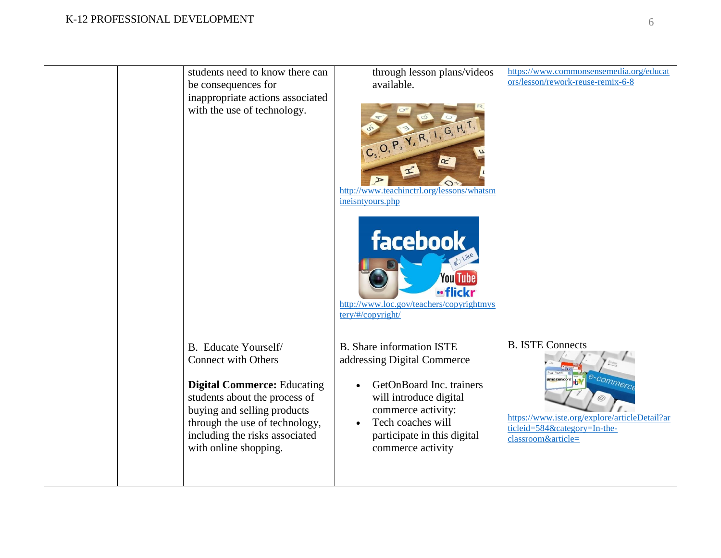## K-12 PROFESSIONAL DEVELOPMENT

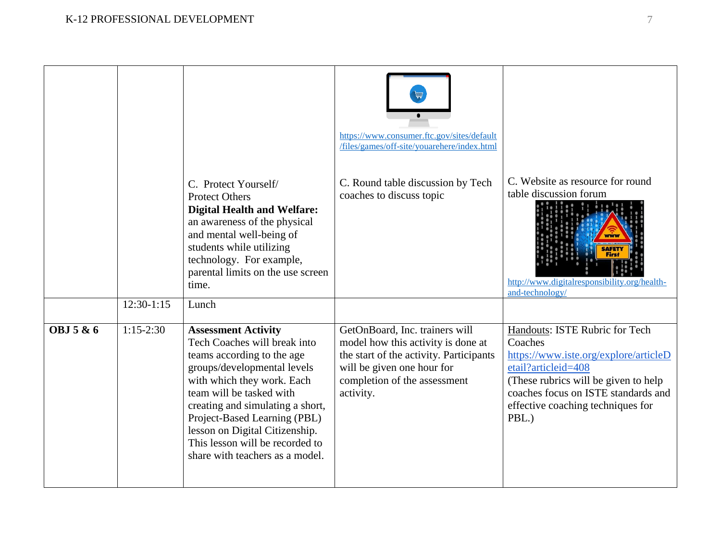|                      |              | C. Protect Yourself/<br><b>Protect Others</b><br><b>Digital Health and Welfare:</b><br>an awareness of the physical<br>and mental well-being of<br>students while utilizing<br>technology. For example,<br>parental limits on the use screen<br>time.                                                                                                         | https://www.consumer.ftc.gov/sites/default<br>/files/games/off-site/youarehere/index.html<br>C. Round table discussion by Tech<br>coaches to discuss topic                                 | C. Website as resource for round<br>table discussion forum<br>http://www.digitalresponsibility.org/health-<br>and-technology/                                                                                                           |
|----------------------|--------------|---------------------------------------------------------------------------------------------------------------------------------------------------------------------------------------------------------------------------------------------------------------------------------------------------------------------------------------------------------------|--------------------------------------------------------------------------------------------------------------------------------------------------------------------------------------------|-----------------------------------------------------------------------------------------------------------------------------------------------------------------------------------------------------------------------------------------|
|                      | $12:30-1:15$ | Lunch                                                                                                                                                                                                                                                                                                                                                         |                                                                                                                                                                                            |                                                                                                                                                                                                                                         |
| <b>OBJ 5 &amp; 6</b> | $1:15-2:30$  | <b>Assessment Activity</b><br>Tech Coaches will break into<br>teams according to the age<br>groups/developmental levels<br>with which they work. Each<br>team will be tasked with<br>creating and simulating a short,<br>Project-Based Learning (PBL)<br>lesson on Digital Citizenship.<br>This lesson will be recorded to<br>share with teachers as a model. | GetOnBoard, Inc. trainers will<br>model how this activity is done at<br>the start of the activity. Participants<br>will be given one hour for<br>completion of the assessment<br>activity. | Handouts: ISTE Rubric for Tech<br>Coaches<br>https://www.iste.org/explore/articleD<br>etail?articleid=408<br>(These rubrics will be given to help)<br>coaches focus on ISTE standards and<br>effective coaching techniques for<br>PBL.) |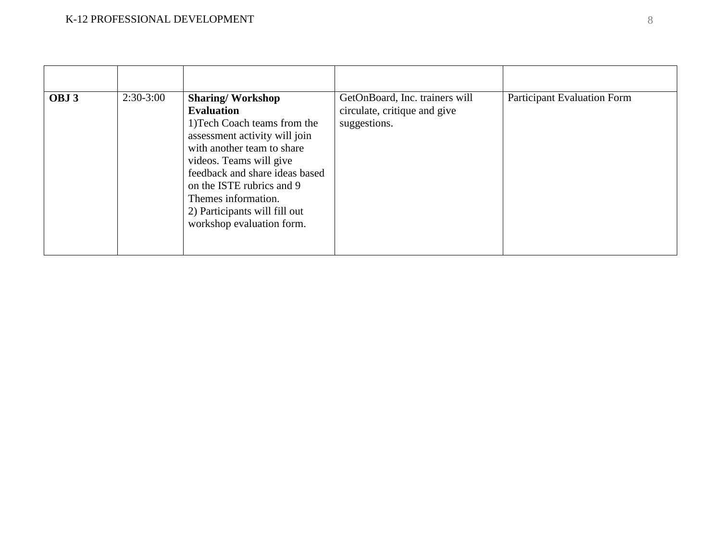| OBJ <sub>3</sub> | $2:30-3:00$ | <b>Sharing/Workshop</b><br><b>Evaluation</b><br>1) Tech Coach teams from the<br>assessment activity will join<br>with another team to share<br>videos. Teams will give<br>feedback and share ideas based<br>on the ISTE rubrics and 9<br>Themes information.<br>2) Participants will fill out<br>workshop evaluation form. | GetOnBoard, Inc. trainers will<br>circulate, critique and give<br>suggestions. | <b>Participant Evaluation Form</b> |
|------------------|-------------|----------------------------------------------------------------------------------------------------------------------------------------------------------------------------------------------------------------------------------------------------------------------------------------------------------------------------|--------------------------------------------------------------------------------|------------------------------------|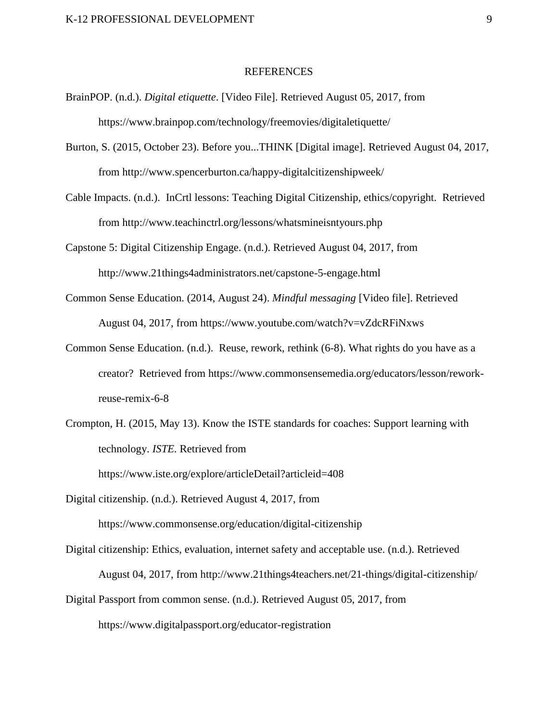#### REFERENCES

- BrainPOP. (n.d.). *Digital etiquette*. [Video File]. Retrieved August 05, 2017, from https://www.brainpop.com/technology/freemovies/digitaletiquette/
- Burton, S. (2015, October 23). Before you...THINK [Digital image]. Retrieved August 04, 2017, from http://www.spencerburton.ca/happy-digitalcitizenshipweek/
- Cable Impacts. (n.d.). InCrtl lessons: Teaching Digital Citizenship, ethics/copyright. Retrieved from http://www.teachinctrl.org/lessons/whatsmineisntyours.php
- Capstone 5: Digital Citizenship Engage. (n.d.). Retrieved August 04, 2017, from http://www.21things4administrators.net/capstone-5-engage.html
- Common Sense Education. (2014, August 24). *Mindful messaging* [Video file]. Retrieved August 04, 2017, from https://www.youtube.com/watch?v=vZdcRFiNxws
- Common Sense Education. (n.d.). Reuse, rework, rethink (6-8). What rights do you have as a creator? Retrieved from https://www.commonsensemedia.org/educators/lesson/reworkreuse-remix-6-8
- Crompton, H. (2015, May 13). Know the ISTE standards for coaches: Support learning with technology. *ISTE.* Retrieved from https://www.iste.org/explore/articleDetail?articleid=408
- Digital citizenship. (n.d.). Retrieved August 4, 2017, from https://www.commonsense.org/education/digital-citizenship
- Digital citizenship: Ethics, evaluation, internet safety and acceptable use. (n.d.). Retrieved August 04, 2017, from <http://www.21things4teachers.net/21-things/digital-citizenship/> Digital Passport from common sense. (n.d.). Retrieved August 05, 2017, from

https://www.digitalpassport.org/educator-registration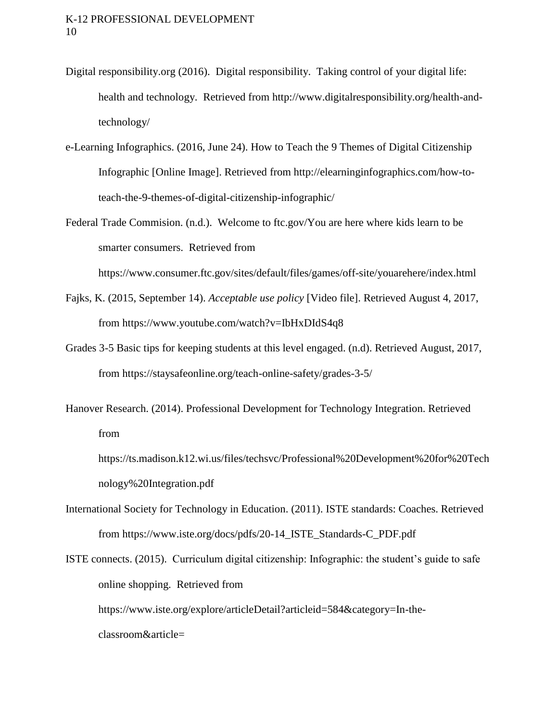- Digital responsibility.org (2016). Digital responsibility. Taking control of your digital life: health and technology. Retrieved from [http://www.digitalresponsibility.org/health-and](http://www.digitalresponsibility.org/health-and-technology/)[technology/](http://www.digitalresponsibility.org/health-and-technology/)
- e-Learning Infographics. (2016, June 24). How to Teach the 9 Themes of Digital Citizenship Infographic [Online Image]. Retrieved from http://elearninginfographics.com/how-toteach-the-9-themes-of-digital-citizenship-infographic/
- Federal Trade Commision. (n.d.). Welcome to ftc.gov/You are here where kids learn to be smarter consumers. Retrieved from

<https://www.consumer.ftc.gov/sites/default/files/games/off-site/youarehere/index.html>

- Fajks, K. (2015, September 14). *Acceptable use policy* [Video file]. Retrieved August 4, 2017, from https://www.youtube.com/watch?v=IbHxDIdS4q8
- Grades 3-5 Basic tips for keeping students at this level engaged. (n.d). Retrieved August, 2017, from <https://staysafeonline.org/teach-online-safety/grades-3-5/>
- Hanover Research. (2014). Professional Development for Technology Integration. Retrieved from

https://ts.madison.k12.wi.us/files/techsvc/Professional%20Development%20for%20Tech nology%20Integration.pdf

- International Society for Technology in Education. (2011). ISTE standards: Coaches. Retrieved from https://www.iste.org/docs/pdfs/20-14\_ISTE\_Standards-C\_PDF.pdf
- ISTE connects. (2015). Curriculum digital citizenship: Infographic: the student's guide to safe online shopping. Retrieved from [https://www.iste.org/explore/articleDetail?articleid=584&category=In-the](https://www.iste.org/explore/articleDetail?articleid=584&category=In-the-classroom&article=)[classroom&article=](https://www.iste.org/explore/articleDetail?articleid=584&category=In-the-classroom&article=)